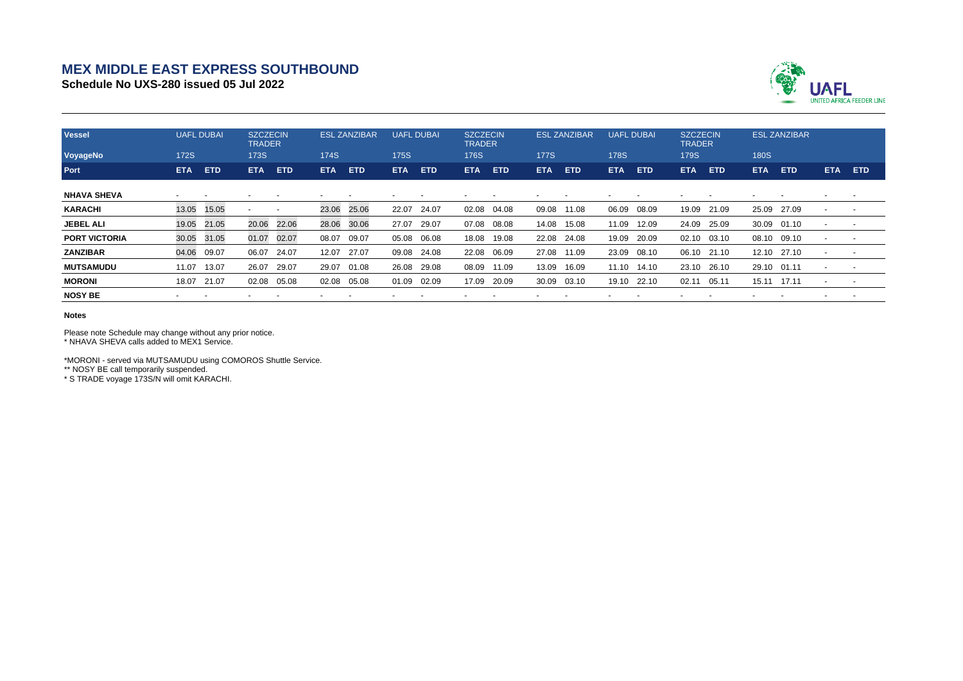## **MEX MIDDLE EAST EXPRESS SOUTHBOUND**

**Schedule No UXS-280 issued 05 Jul 2022**



| <b>Vessel</b>        | <b>UAFL DUBAI</b> |       |             | <b>SZCZECIN</b><br><b>TRADER</b> |             | <b>ESL ZANZIBAR</b> |             | <b>UAFL DUBAI</b> |            | <b>SZCZECIN</b><br><b>TRADER</b> |             | <b>ESL ZANZIBAR</b> |             | <b>UAFL DUBAI</b> |             | <b>SZCZECIN</b><br><b>TRADER</b> |             | <b>ESL ZANZIBAR</b> |                          |            |
|----------------------|-------------------|-------|-------------|----------------------------------|-------------|---------------------|-------------|-------------------|------------|----------------------------------|-------------|---------------------|-------------|-------------------|-------------|----------------------------------|-------------|---------------------|--------------------------|------------|
| VoyageNo             | <b>172S</b>       |       | <b>173S</b> |                                  | <b>174S</b> |                     | <b>175S</b> |                   | 176S       |                                  | <b>177S</b> |                     | <b>178S</b> |                   | <b>179S</b> |                                  | <b>180S</b> |                     |                          |            |
| Port                 | <b>ETA</b>        | ETD   | <b>ETA</b>  | <b>ETD</b>                       | ETA         | <b>ETD</b>          | <b>ETA</b>  | <b>ETD</b>        | <b>ETA</b> | <b>ETD</b>                       | <b>ETA</b>  | <b>ETD</b>          | <b>ETA</b>  | <b>ETD</b>        | <b>ETA</b>  | ETD                              | ETA         | <b>ETD</b>          | <b>ETA</b>               | <b>ETD</b> |
| <b>NHAVA SHEVA</b>   |                   |       |             |                                  |             |                     |             |                   |            |                                  |             |                     |             |                   |             |                                  |             |                     |                          |            |
| <b>KARACHI</b>       | 13.05             | 15.05 |             |                                  | 23.06       | 25.06               | 22.07       | 24.07             | 02.08      | 04.08                            | 09.08       | 11.08               | 06.09       | 08.09             | 19.09       | 21.09                            | 25.09       | 27.09               | $\overline{\phantom{0}}$ |            |
| <b>JEBEL ALI</b>     | 19.05             | 21.05 | 20.06       | 22.06                            | 28.06       | 30.06               | 27.07       | 29.07             | 07.08      | 08.08                            | 14.08       | 15.08               | 11.09       | 12.09             | 24.09       | 25.09                            | 30.09       | 01.10               | $\overline{\phantom{a}}$ |            |
| <b>PORT VICTORIA</b> | 30.05             | 31.05 | 01.07       | 02.07                            | 08.07       | 09.07               | 05.08       | 06.08             | 18.08      | 19.08                            | 22.08       | 24.08               | 19.09       | 20.09             | 02.10       | 03.10                            | 08.10       | 09.10               | $\overline{\phantom{a}}$ |            |
| <b>ZANZIBAR</b>      | 04.06             | 09.07 | 06.07       | 24.07                            | 12.07       | 27.07               | 09.08       | 24.08             | 22.08      | 06.09                            | 27.08       | 11.09               | 23.09       | 08.10             | 06.10 21.10 |                                  | 12.10       | 27.10               | $\overline{\phantom{0}}$ |            |
| <b>MUTSAMUDU</b>     | 11.07             | 13.07 | 26.07       | 29.07                            | 29.07       | 01.08               | 26.08       | 29.08             | 08.09      | 11.09                            | 13.09       | 16.09               | 11.10       | 14.10             | 23.10 26.10 |                                  | 29.10       | 01.11               | $\overline{\phantom{0}}$ |            |
| <b>MORONI</b>        | 18.07 21.07       |       | 02.08       | 05.08                            | 02.08       | 05.08               | 01.09       | 02.09             | 17.09      | 20.09                            | 30.09       | 03.10               | 19.10       | 22.10             | 02.11       | 05.11                            | 15.11       | 17.11               | ٠                        |            |
| <b>NOSY BE</b>       |                   |       |             |                                  |             |                     |             |                   |            |                                  |             |                     |             |                   |             |                                  |             |                     |                          |            |

**Notes**

Please note Schedule may change without any prior notice. \* NHAVA SHEVA calls added to MEX1 Service.

\*MORONI - served via MUTSAMUDU using COMOROS Shuttle Service. \*\* NOSY BE call temporarily suspended.

\* S TRADE voyage 173S/N will omit KARACHI.